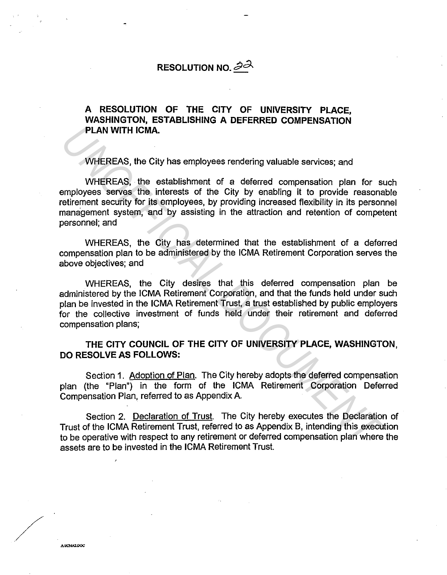## **RESOLUTION NO.** 22

## **A RESOLUTION OF THE CITY OF UNIVERSITY PLACE, WASHINGTON, ESTABLISHING A DEFERRED COMPENSATION PLAN WITH ICMA.**

WHEREAS, the City has employees rendering valuable services; and

WHEREAS, the establishment of a deferred compensation plan for such employees serves the interests of the City by enabling it to provide reasonable retirement security for its employees, by providing increased flexibility in its personnel management system, and by assisting in the attraction and retention of competent personnel; and **PLAN WITH ICMA.**<br>
WHEREAS, the City has employees rendering valuable services; and<br>
WHEREAS, the establishment of a deferred compensation plan for server<br>
servery the interests of the City by enabling it to provide reason

WHEREAS, the City has determined that the establishment of a deferred compensation plan to be administered by the ICMA Retirement Corporation serves the above objectives; and

WHEREAS, the City desires that this deferred compensation plan be administered by the ICMA Retirement Corporation, and that the funds held under such plan be invested in the ICMA Retirement Trust, a trust established by public employers for the collective investment of funds held under their retirement and deferred compensation plans;

## **THE CITY COUNCIL OF THE CITY OF UNIVERSITY PLACE, WASHINGTON, DO RESOLVE AS FOLLOWS:**

Section 1. Adoption of Plan. The City hereby adopts the deferred compensation plan (the "Plan") in the form of the ICMA Retirement Corporation Deferred Compensation Plan, referred to as Appendix A.

Section 2. Declaration of Trust. The City hereby executes the Declaration of Trust of the ICMA Retirement Trust, referred to as Appendix B, intending this execution to be operative with respect to any retirement or deferred compensation plan where the assets are to be invested in the ICMA Retirement Trust.